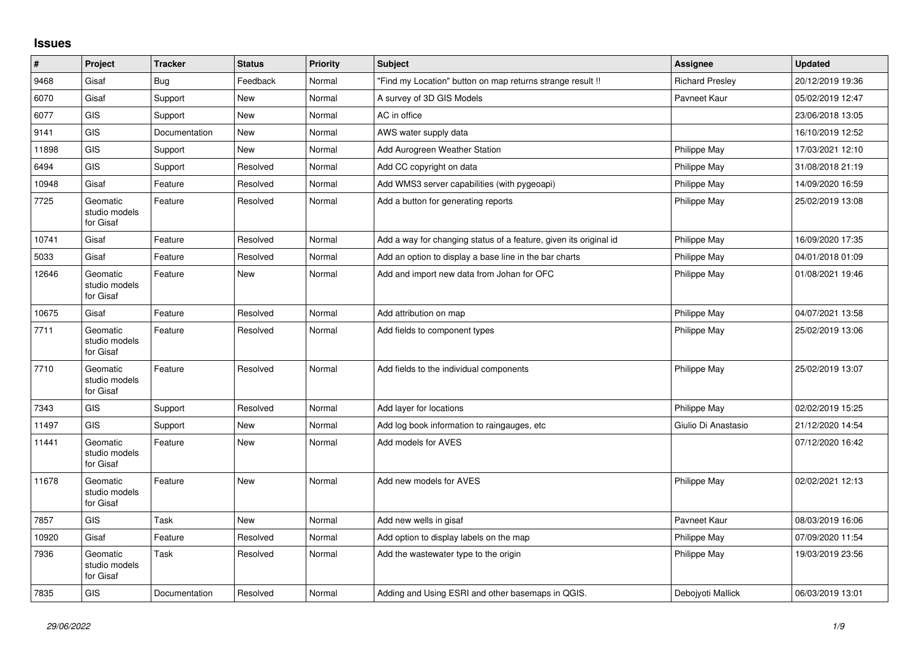## **Issues**

| $\pmb{\#}$ | Project                                | <b>Tracker</b> | <b>Status</b> | <b>Priority</b> | <b>Subject</b>                                                    | Assignee               | <b>Updated</b>   |
|------------|----------------------------------------|----------------|---------------|-----------------|-------------------------------------------------------------------|------------------------|------------------|
| 9468       | Gisaf                                  | Bug            | Feedback      | Normal          | 'Find my Location" button on map returns strange result !!        | <b>Richard Presley</b> | 20/12/2019 19:36 |
| 6070       | Gisaf                                  | Support        | <b>New</b>    | Normal          | A survey of 3D GIS Models                                         | Pavneet Kaur           | 05/02/2019 12:47 |
| 6077       | <b>GIS</b>                             | Support        | <b>New</b>    | Normal          | AC in office                                                      |                        | 23/06/2018 13:05 |
| 9141       | <b>GIS</b>                             | Documentation  | <b>New</b>    | Normal          | AWS water supply data                                             |                        | 16/10/2019 12:52 |
| 11898      | GIS                                    | Support        | New           | Normal          | Add Aurogreen Weather Station                                     | Philippe May           | 17/03/2021 12:10 |
| 6494       | <b>GIS</b>                             | Support        | Resolved      | Normal          | Add CC copyright on data                                          | Philippe May           | 31/08/2018 21:19 |
| 10948      | Gisaf                                  | Feature        | Resolved      | Normal          | Add WMS3 server capabilities (with pygeoapi)                      | Philippe May           | 14/09/2020 16:59 |
| 7725       | Geomatic<br>studio models<br>for Gisaf | Feature        | Resolved      | Normal          | Add a button for generating reports                               | Philippe May           | 25/02/2019 13:08 |
| 10741      | Gisaf                                  | Feature        | Resolved      | Normal          | Add a way for changing status of a feature, given its original id | Philippe May           | 16/09/2020 17:35 |
| 5033       | Gisaf                                  | Feature        | Resolved      | Normal          | Add an option to display a base line in the bar charts            | <b>Philippe May</b>    | 04/01/2018 01:09 |
| 12646      | Geomatic<br>studio models<br>for Gisaf | Feature        | New           | Normal          | Add and import new data from Johan for OFC                        | Philippe May           | 01/08/2021 19:46 |
| 10675      | Gisaf                                  | Feature        | Resolved      | Normal          | Add attribution on map                                            | Philippe May           | 04/07/2021 13:58 |
| 7711       | Geomatic<br>studio models<br>for Gisaf | Feature        | Resolved      | Normal          | Add fields to component types                                     | Philippe May           | 25/02/2019 13:06 |
| 7710       | Geomatic<br>studio models<br>for Gisaf | Feature        | Resolved      | Normal          | Add fields to the individual components                           | Philippe May           | 25/02/2019 13:07 |
| 7343       | GIS                                    | Support        | Resolved      | Normal          | Add layer for locations                                           | Philippe May           | 02/02/2019 15:25 |
| 11497      | GIS                                    | Support        | New           | Normal          | Add log book information to raingauges, etc                       | Giulio Di Anastasio    | 21/12/2020 14:54 |
| 11441      | Geomatic<br>studio models<br>for Gisaf | Feature        | <b>New</b>    | Normal          | Add models for AVES                                               |                        | 07/12/2020 16:42 |
| 11678      | Geomatic<br>studio models<br>for Gisaf | Feature        | <b>New</b>    | Normal          | Add new models for AVES                                           | Philippe May           | 02/02/2021 12:13 |
| 7857       | <b>GIS</b>                             | Task           | <b>New</b>    | Normal          | Add new wells in gisaf                                            | Payneet Kaur           | 08/03/2019 16:06 |
| 10920      | Gisaf                                  | Feature        | Resolved      | Normal          | Add option to display labels on the map                           | Philippe May           | 07/09/2020 11:54 |
| 7936       | Geomatic<br>studio models<br>for Gisaf | Task           | Resolved      | Normal          | Add the wastewater type to the origin                             | Philippe May           | 19/03/2019 23:56 |
| 7835       | GIS                                    | Documentation  | Resolved      | Normal          | Adding and Using ESRI and other basemaps in QGIS.                 | Deboivoti Mallick      | 06/03/2019 13:01 |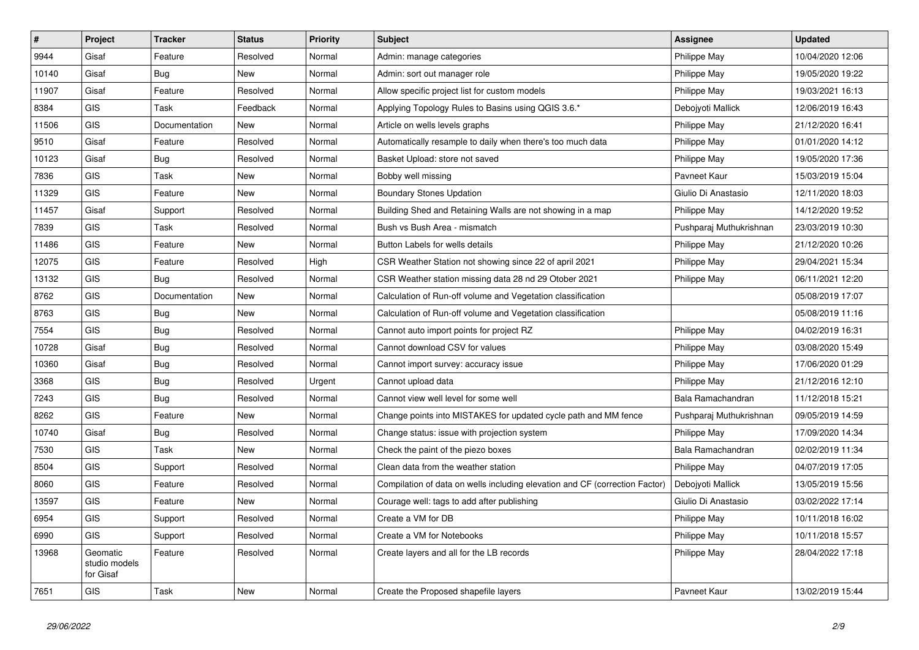| $\pmb{\#}$ | Project                                | <b>Tracker</b> | <b>Status</b> | <b>Priority</b> | <b>Subject</b>                                                              | <b>Assignee</b>         | <b>Updated</b>   |
|------------|----------------------------------------|----------------|---------------|-----------------|-----------------------------------------------------------------------------|-------------------------|------------------|
| 9944       | Gisaf                                  | Feature        | Resolved      | Normal          | Admin: manage categories                                                    | Philippe May            | 10/04/2020 12:06 |
| 10140      | Gisaf                                  | Bug            | <b>New</b>    | Normal          | Admin: sort out manager role                                                | Philippe May            | 19/05/2020 19:22 |
| 11907      | Gisaf                                  | Feature        | Resolved      | Normal          | Allow specific project list for custom models                               | Philippe May            | 19/03/2021 16:13 |
| 8384       | <b>GIS</b>                             | Task           | Feedback      | Normal          | Applying Topology Rules to Basins using QGIS 3.6.*                          | Debojyoti Mallick       | 12/06/2019 16:43 |
| 11506      | <b>GIS</b>                             | Documentation  | <b>New</b>    | Normal          | Article on wells levels graphs                                              | Philippe May            | 21/12/2020 16:41 |
| 9510       | Gisaf                                  | Feature        | Resolved      | Normal          | Automatically resample to daily when there's too much data                  | Philippe May            | 01/01/2020 14:12 |
| 10123      | Gisaf                                  | <b>Bug</b>     | Resolved      | Normal          | Basket Upload: store not saved                                              | Philippe May            | 19/05/2020 17:36 |
| 7836       | <b>GIS</b>                             | Task           | New           | Normal          | Bobby well missing                                                          | Pavneet Kaur            | 15/03/2019 15:04 |
| 11329      | <b>GIS</b>                             | Feature        | New           | Normal          | <b>Boundary Stones Updation</b>                                             | Giulio Di Anastasio     | 12/11/2020 18:03 |
| 11457      | Gisaf                                  | Support        | Resolved      | Normal          | Building Shed and Retaining Walls are not showing in a map                  | Philippe May            | 14/12/2020 19:52 |
| 7839       | <b>GIS</b>                             | Task           | Resolved      | Normal          | Bush vs Bush Area - mismatch                                                | Pushparaj Muthukrishnan | 23/03/2019 10:30 |
| 11486      | <b>GIS</b>                             | Feature        | <b>New</b>    | Normal          | Button Labels for wells details                                             | Philippe May            | 21/12/2020 10:26 |
| 12075      | <b>GIS</b>                             | Feature        | Resolved      | High            | CSR Weather Station not showing since 22 of april 2021                      | Philippe May            | 29/04/2021 15:34 |
| 13132      | <b>GIS</b>                             | Bug            | Resolved      | Normal          | CSR Weather station missing data 28 nd 29 Otober 2021                       | Philippe May            | 06/11/2021 12:20 |
| 8762       | <b>GIS</b>                             | Documentation  | New           | Normal          | Calculation of Run-off volume and Vegetation classification                 |                         | 05/08/2019 17:07 |
| 8763       | <b>GIS</b>                             | <b>Bug</b>     | New           | Normal          | Calculation of Run-off volume and Vegetation classification                 |                         | 05/08/2019 11:16 |
| 7554       | <b>GIS</b>                             | <b>Bug</b>     | Resolved      | Normal          | Cannot auto import points for project RZ                                    | Philippe May            | 04/02/2019 16:31 |
| 10728      | Gisaf                                  | <b>Bug</b>     | Resolved      | Normal          | Cannot download CSV for values                                              | Philippe May            | 03/08/2020 15:49 |
| 10360      | Gisaf                                  | <b>Bug</b>     | Resolved      | Normal          | Cannot import survey: accuracy issue                                        | Philippe May            | 17/06/2020 01:29 |
| 3368       | <b>GIS</b>                             | Bug            | Resolved      | Urgent          | Cannot upload data                                                          | Philippe May            | 21/12/2016 12:10 |
| 7243       | <b>GIS</b>                             | Bug            | Resolved      | Normal          | Cannot view well level for some well                                        | Bala Ramachandran       | 11/12/2018 15:21 |
| 8262       | <b>GIS</b>                             | Feature        | New           | Normal          | Change points into MISTAKES for updated cycle path and MM fence             | Pushparaj Muthukrishnan | 09/05/2019 14:59 |
| 10740      | Gisaf                                  | <b>Bug</b>     | Resolved      | Normal          | Change status: issue with projection system                                 | Philippe May            | 17/09/2020 14:34 |
| 7530       | <b>GIS</b>                             | Task           | New           | Normal          | Check the paint of the piezo boxes                                          | Bala Ramachandran       | 02/02/2019 11:34 |
| 8504       | GIS                                    | Support        | Resolved      | Normal          | Clean data from the weather station                                         | Philippe May            | 04/07/2019 17:05 |
| 8060       | <b>GIS</b>                             | Feature        | Resolved      | Normal          | Compilation of data on wells including elevation and CF (correction Factor) | Debojyoti Mallick       | 13/05/2019 15:56 |
| 13597      | <b>GIS</b>                             | Feature        | New           | Normal          | Courage well: tags to add after publishing                                  | Giulio Di Anastasio     | 03/02/2022 17:14 |
| 6954       | <b>GIS</b>                             | Support        | Resolved      | Normal          | Create a VM for DB                                                          | Philippe May            | 10/11/2018 16:02 |
| 6990       | <b>GIS</b>                             | Support        | Resolved      | Normal          | Create a VM for Notebooks                                                   | Philippe May            | 10/11/2018 15:57 |
| 13968      | Geomatic<br>studio models<br>for Gisaf | Feature        | Resolved      | Normal          | Create layers and all for the LB records                                    | Philippe May            | 28/04/2022 17:18 |
| 7651       | <b>GIS</b>                             | Task           | New           | Normal          | Create the Proposed shapefile layers                                        | Payneet Kaur            | 13/02/2019 15:44 |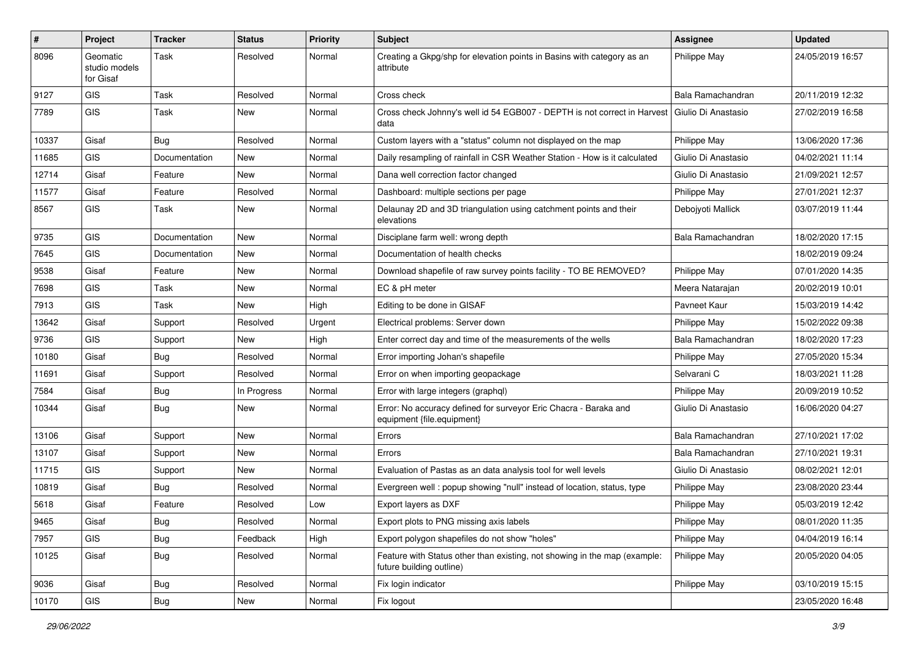| #     | Project                                | <b>Tracker</b> | <b>Status</b> | <b>Priority</b> | <b>Subject</b>                                                                                        | Assignee            | <b>Updated</b>   |
|-------|----------------------------------------|----------------|---------------|-----------------|-------------------------------------------------------------------------------------------------------|---------------------|------------------|
| 8096  | Geomatic<br>studio models<br>for Gisaf | Task           | Resolved      | Normal          | Creating a Gkpg/shp for elevation points in Basins with category as an<br>attribute                   | Philippe May        | 24/05/2019 16:57 |
| 9127  | GIS                                    | Task           | Resolved      | Normal          | Cross check                                                                                           | Bala Ramachandran   | 20/11/2019 12:32 |
| 7789  | GIS                                    | Task           | New           | Normal          | Cross check Johnny's well id 54 EGB007 - DEPTH is not correct in Harvest<br>data                      | Giulio Di Anastasio | 27/02/2019 16:58 |
| 10337 | Gisaf                                  | <b>Bug</b>     | Resolved      | Normal          | Custom layers with a "status" column not displayed on the map                                         | Philippe May        | 13/06/2020 17:36 |
| 11685 | <b>GIS</b>                             | Documentation  | New           | Normal          | Daily resampling of rainfall in CSR Weather Station - How is it calculated                            | Giulio Di Anastasio | 04/02/2021 11:14 |
| 12714 | Gisaf                                  | Feature        | <b>New</b>    | Normal          | Dana well correction factor changed                                                                   | Giulio Di Anastasio | 21/09/2021 12:57 |
| 11577 | Gisaf                                  | Feature        | Resolved      | Normal          | Dashboard: multiple sections per page                                                                 | Philippe May        | 27/01/2021 12:37 |
| 8567  | <b>GIS</b>                             | Task           | New           | Normal          | Delaunay 2D and 3D triangulation using catchment points and their<br>elevations                       | Debojyoti Mallick   | 03/07/2019 11:44 |
| 9735  | <b>GIS</b>                             | Documentation  | New           | Normal          | Disciplane farm well: wrong depth                                                                     | Bala Ramachandran   | 18/02/2020 17:15 |
| 7645  | GIS                                    | Documentation  | New           | Normal          | Documentation of health checks                                                                        |                     | 18/02/2019 09:24 |
| 9538  | Gisaf                                  | Feature        | <b>New</b>    | Normal          | Download shapefile of raw survey points facility - TO BE REMOVED?                                     | Philippe May        | 07/01/2020 14:35 |
| 7698  | <b>GIS</b>                             | Task           | New           | Normal          | EC & pH meter                                                                                         | Meera Natarajan     | 20/02/2019 10:01 |
| 7913  | GIS                                    | Task           | New           | High            | Editing to be done in GISAF                                                                           | Pavneet Kaur        | 15/03/2019 14:42 |
| 13642 | Gisaf                                  | Support        | Resolved      | Urgent          | Electrical problems: Server down                                                                      | Philippe May        | 15/02/2022 09:38 |
| 9736  | <b>GIS</b>                             | Support        | New           | High            | Enter correct day and time of the measurements of the wells                                           | Bala Ramachandran   | 18/02/2020 17:23 |
| 10180 | Gisaf                                  | Bug            | Resolved      | Normal          | Error importing Johan's shapefile                                                                     | Philippe May        | 27/05/2020 15:34 |
| 11691 | Gisaf                                  | Support        | Resolved      | Normal          | Error on when importing geopackage                                                                    | Selvarani C         | 18/03/2021 11:28 |
| 7584  | Gisaf                                  | Bug            | In Progress   | Normal          | Error with large integers (graphql)                                                                   | Philippe May        | 20/09/2019 10:52 |
| 10344 | Gisaf                                  | Bug            | New           | Normal          | Error: No accuracy defined for surveyor Eric Chacra - Baraka and<br>equipment {file.equipment}        | Giulio Di Anastasio | 16/06/2020 04:27 |
| 13106 | Gisaf                                  | Support        | New           | Normal          | Errors                                                                                                | Bala Ramachandran   | 27/10/2021 17:02 |
| 13107 | Gisaf                                  | Support        | New           | Normal          | Errors                                                                                                | Bala Ramachandran   | 27/10/2021 19:31 |
| 11715 | <b>GIS</b>                             | Support        | New           | Normal          | Evaluation of Pastas as an data analysis tool for well levels                                         | Giulio Di Anastasio | 08/02/2021 12:01 |
| 10819 | Gisaf                                  | Bug            | Resolved      | Normal          | Evergreen well: popup showing "null" instead of location, status, type                                | Philippe May        | 23/08/2020 23:44 |
| 5618  | Gisaf                                  | Feature        | Resolved      | Low             | Export layers as DXF                                                                                  | Philippe May        | 05/03/2019 12:42 |
| 9465  | Gisaf                                  | Bug            | Resolved      | Normal          | Export plots to PNG missing axis labels                                                               | Philippe May        | 08/01/2020 11:35 |
| 7957  | GIS                                    | Bug            | Feedback      | High            | Export polygon shapefiles do not show "holes"                                                         | Philippe May        | 04/04/2019 16:14 |
| 10125 | Gisaf                                  | <b>Bug</b>     | Resolved      | Normal          | Feature with Status other than existing, not showing in the map (example:<br>future building outline) | Philippe May        | 20/05/2020 04:05 |
| 9036  | Gisaf                                  | <b>Bug</b>     | Resolved      | Normal          | Fix login indicator                                                                                   | Philippe May        | 03/10/2019 15:15 |
| 10170 | GIS                                    | Bug            | New           | Normal          | Fix logout                                                                                            |                     | 23/05/2020 16:48 |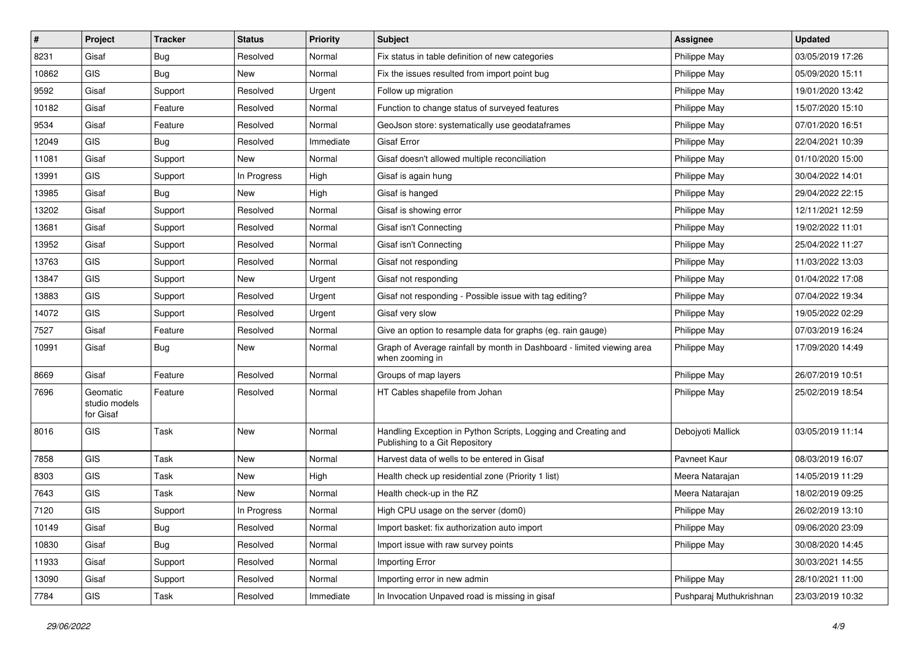| #     | Project                                | <b>Tracker</b> | <b>Status</b> | <b>Priority</b> | <b>Subject</b>                                                                                   | <b>Assignee</b>         | <b>Updated</b>   |
|-------|----------------------------------------|----------------|---------------|-----------------|--------------------------------------------------------------------------------------------------|-------------------------|------------------|
| 8231  | Gisaf                                  | Bug            | Resolved      | Normal          | Fix status in table definition of new categories                                                 | Philippe May            | 03/05/2019 17:26 |
| 10862 | <b>GIS</b>                             | Bug            | New           | Normal          | Fix the issues resulted from import point bug                                                    | Philippe May            | 05/09/2020 15:11 |
| 9592  | Gisaf                                  | Support        | Resolved      | Urgent          | Follow up migration                                                                              | Philippe May            | 19/01/2020 13:42 |
| 10182 | Gisaf                                  | Feature        | Resolved      | Normal          | Function to change status of surveyed features                                                   | Philippe May            | 15/07/2020 15:10 |
| 9534  | Gisaf                                  | Feature        | Resolved      | Normal          | GeoJson store: systematically use geodataframes                                                  | Philippe May            | 07/01/2020 16:51 |
| 12049 | <b>GIS</b>                             | Bug            | Resolved      | Immediate       | Gisaf Error                                                                                      | Philippe May            | 22/04/2021 10:39 |
| 11081 | Gisaf                                  | Support        | New           | Normal          | Gisaf doesn't allowed multiple reconciliation                                                    | <b>Philippe May</b>     | 01/10/2020 15:00 |
| 13991 | GIS                                    | Support        | In Progress   | High            | Gisaf is again hung                                                                              | Philippe May            | 30/04/2022 14:01 |
| 13985 | Gisaf                                  | Bug            | New           | High            | Gisaf is hanged                                                                                  | Philippe May            | 29/04/2022 22:15 |
| 13202 | Gisaf                                  | Support        | Resolved      | Normal          | Gisaf is showing error                                                                           | Philippe May            | 12/11/2021 12:59 |
| 13681 | Gisaf                                  | Support        | Resolved      | Normal          | Gisaf isn't Connecting                                                                           | Philippe May            | 19/02/2022 11:01 |
| 13952 | Gisaf                                  | Support        | Resolved      | Normal          | Gisaf isn't Connecting                                                                           | Philippe May            | 25/04/2022 11:27 |
| 13763 | <b>GIS</b>                             | Support        | Resolved      | Normal          | Gisaf not responding                                                                             | Philippe May            | 11/03/2022 13:03 |
| 13847 | GIS                                    | Support        | New           | Urgent          | Gisaf not responding                                                                             | Philippe May            | 01/04/2022 17:08 |
| 13883 | <b>GIS</b>                             | Support        | Resolved      | Urgent          | Gisaf not responding - Possible issue with tag editing?                                          | Philippe May            | 07/04/2022 19:34 |
| 14072 | <b>GIS</b>                             | Support        | Resolved      | Urgent          | Gisaf very slow                                                                                  | Philippe May            | 19/05/2022 02:29 |
| 7527  | Gisaf                                  | Feature        | Resolved      | Normal          | Give an option to resample data for graphs (eg. rain gauge)                                      | Philippe May            | 07/03/2019 16:24 |
| 10991 | Gisaf                                  | Bug            | <b>New</b>    | Normal          | Graph of Average rainfall by month in Dashboard - limited viewing area<br>when zooming in        | Philippe May            | 17/09/2020 14:49 |
| 8669  | Gisaf                                  | Feature        | Resolved      | Normal          | Groups of map layers                                                                             | <b>Philippe May</b>     | 26/07/2019 10:51 |
| 7696  | Geomatic<br>studio models<br>for Gisaf | Feature        | Resolved      | Normal          | HT Cables shapefile from Johan                                                                   | Philippe May            | 25/02/2019 18:54 |
| 8016  | <b>GIS</b>                             | Task           | New           | Normal          | Handling Exception in Python Scripts, Logging and Creating and<br>Publishing to a Git Repository | Debojyoti Mallick       | 03/05/2019 11:14 |
| 7858  | GIS                                    | Task           | New           | Normal          | Harvest data of wells to be entered in Gisaf                                                     | Pavneet Kaur            | 08/03/2019 16:07 |
| 8303  | <b>GIS</b>                             | Task           | New           | High            | Health check up residential zone (Priority 1 list)                                               | Meera Natarajan         | 14/05/2019 11:29 |
| 7643  | <b>GIS</b>                             | Task           | New           | Normal          | Health check-up in the RZ                                                                        | Meera Natarajan         | 18/02/2019 09:25 |
| 7120  | GIS                                    | Support        | In Progress   | Normal          | High CPU usage on the server (dom0)                                                              | Philippe May            | 26/02/2019 13:10 |
| 10149 | Gisaf                                  | <b>Bug</b>     | Resolved      | Normal          | Import basket: fix authorization auto import                                                     | Philippe May            | 09/06/2020 23:09 |
| 10830 | Gisaf                                  | <b>Bug</b>     | Resolved      | Normal          | Import issue with raw survey points                                                              | Philippe May            | 30/08/2020 14:45 |
| 11933 | Gisaf                                  | Support        | Resolved      | Normal          | Importing Error                                                                                  |                         | 30/03/2021 14:55 |
| 13090 | Gisaf                                  | Support        | Resolved      | Normal          | Importing error in new admin                                                                     | Philippe May            | 28/10/2021 11:00 |
| 7784  | GIS                                    | Task           | Resolved      | Immediate       | In Invocation Unpaved road is missing in gisaf                                                   | Pushparaj Muthukrishnan | 23/03/2019 10:32 |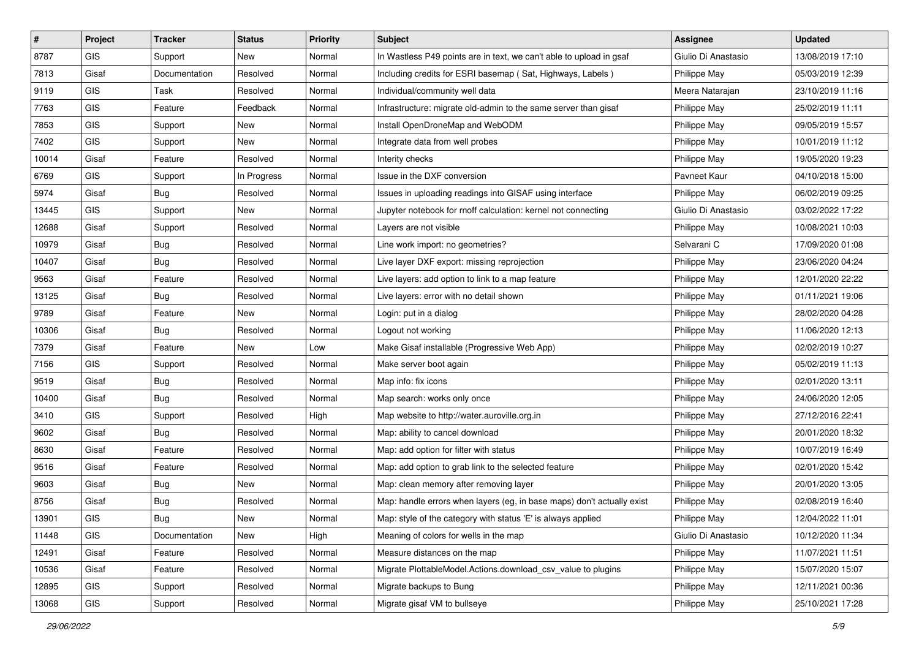| $\vert$ # | Project    | <b>Tracker</b> | <b>Status</b> | <b>Priority</b> | <b>Subject</b>                                                         | <b>Assignee</b>     | <b>Updated</b>   |
|-----------|------------|----------------|---------------|-----------------|------------------------------------------------------------------------|---------------------|------------------|
| 8787      | <b>GIS</b> | Support        | New           | Normal          | In Wastless P49 points are in text, we can't able to upload in gsaf    | Giulio Di Anastasio | 13/08/2019 17:10 |
| 7813      | Gisaf      | Documentation  | Resolved      | Normal          | Including credits for ESRI basemap (Sat, Highways, Labels)             | Philippe May        | 05/03/2019 12:39 |
| 9119      | <b>GIS</b> | Task           | Resolved      | Normal          | Individual/community well data                                         | Meera Natarajan     | 23/10/2019 11:16 |
| 7763      | <b>GIS</b> | Feature        | Feedback      | Normal          | Infrastructure: migrate old-admin to the same server than gisaf        | Philippe May        | 25/02/2019 11:11 |
| 7853      | GIS        | Support        | New           | Normal          | Install OpenDroneMap and WebODM                                        | Philippe May        | 09/05/2019 15:57 |
| 7402      | <b>GIS</b> | Support        | New           | Normal          | Integrate data from well probes                                        | Philippe May        | 10/01/2019 11:12 |
| 10014     | Gisaf      | Feature        | Resolved      | Normal          | Interity checks                                                        | Philippe May        | 19/05/2020 19:23 |
| 6769      | <b>GIS</b> | Support        | In Progress   | Normal          | Issue in the DXF conversion                                            | Pavneet Kaur        | 04/10/2018 15:00 |
| 5974      | Gisaf      | <b>Bug</b>     | Resolved      | Normal          | Issues in uploading readings into GISAF using interface                | Philippe May        | 06/02/2019 09:25 |
| 13445     | GIS        | Support        | New           | Normal          | Jupyter notebook for rnoff calculation: kernel not connecting          | Giulio Di Anastasio | 03/02/2022 17:22 |
| 12688     | Gisaf      | Support        | Resolved      | Normal          | Layers are not visible                                                 | Philippe May        | 10/08/2021 10:03 |
| 10979     | Gisaf      | <b>Bug</b>     | Resolved      | Normal          | Line work import: no geometries?                                       | Selvarani C         | 17/09/2020 01:08 |
| 10407     | Gisaf      | Bug            | Resolved      | Normal          | Live layer DXF export: missing reprojection                            | Philippe May        | 23/06/2020 04:24 |
| 9563      | Gisaf      | Feature        | Resolved      | Normal          | Live layers: add option to link to a map feature                       | Philippe May        | 12/01/2020 22:22 |
| 13125     | Gisaf      | <b>Bug</b>     | Resolved      | Normal          | Live layers: error with no detail shown                                | Philippe May        | 01/11/2021 19:06 |
| 9789      | Gisaf      | Feature        | New           | Normal          | Login: put in a dialog                                                 | Philippe May        | 28/02/2020 04:28 |
| 10306     | Gisaf      | <b>Bug</b>     | Resolved      | Normal          | Logout not working                                                     | Philippe May        | 11/06/2020 12:13 |
| 7379      | Gisaf      | Feature        | <b>New</b>    | Low             | Make Gisaf installable (Progressive Web App)                           | Philippe May        | 02/02/2019 10:27 |
| 7156      | <b>GIS</b> | Support        | Resolved      | Normal          | Make server boot again                                                 | Philippe May        | 05/02/2019 11:13 |
| 9519      | Gisaf      | Bug            | Resolved      | Normal          | Map info: fix icons                                                    | Philippe May        | 02/01/2020 13:11 |
| 10400     | Gisaf      | Bug            | Resolved      | Normal          | Map search: works only once                                            | Philippe May        | 24/06/2020 12:05 |
| 3410      | <b>GIS</b> | Support        | Resolved      | High            | Map website to http://water.auroville.org.in                           | Philippe May        | 27/12/2016 22:41 |
| 9602      | Gisaf      | Bug            | Resolved      | Normal          | Map: ability to cancel download                                        | Philippe May        | 20/01/2020 18:32 |
| 8630      | Gisaf      | Feature        | Resolved      | Normal          | Map: add option for filter with status                                 | Philippe May        | 10/07/2019 16:49 |
| 9516      | Gisaf      | Feature        | Resolved      | Normal          | Map: add option to grab link to the selected feature                   | Philippe May        | 02/01/2020 15:42 |
| 9603      | Gisaf      | <b>Bug</b>     | New           | Normal          | Map: clean memory after removing layer                                 | Philippe May        | 20/01/2020 13:05 |
| 8756      | Gisaf      | <b>Bug</b>     | Resolved      | Normal          | Map: handle errors when layers (eg. in base maps) don't actually exist | Philippe May        | 02/08/2019 16:40 |
| 13901     | GIS        | <b>Bug</b>     | New           | Normal          | Map: style of the category with status 'E' is always applied           | Philippe May        | 12/04/2022 11:01 |
| 11448     | <b>GIS</b> | Documentation  | New           | High            | Meaning of colors for wells in the map                                 | Giulio Di Anastasio | 10/12/2020 11:34 |
| 12491     | Gisaf      | Feature        | Resolved      | Normal          | Measure distances on the map                                           | Philippe May        | 11/07/2021 11:51 |
| 10536     | Gisaf      | Feature        | Resolved      | Normal          | Migrate PlottableModel.Actions.download_csv_value to plugins           | Philippe May        | 15/07/2020 15:07 |
| 12895     | GIS        | Support        | Resolved      | Normal          | Migrate backups to Bung                                                | Philippe May        | 12/11/2021 00:36 |
| 13068     | GIS        | Support        | Resolved      | Normal          | Migrate gisaf VM to bullseye                                           | Philippe May        | 25/10/2021 17:28 |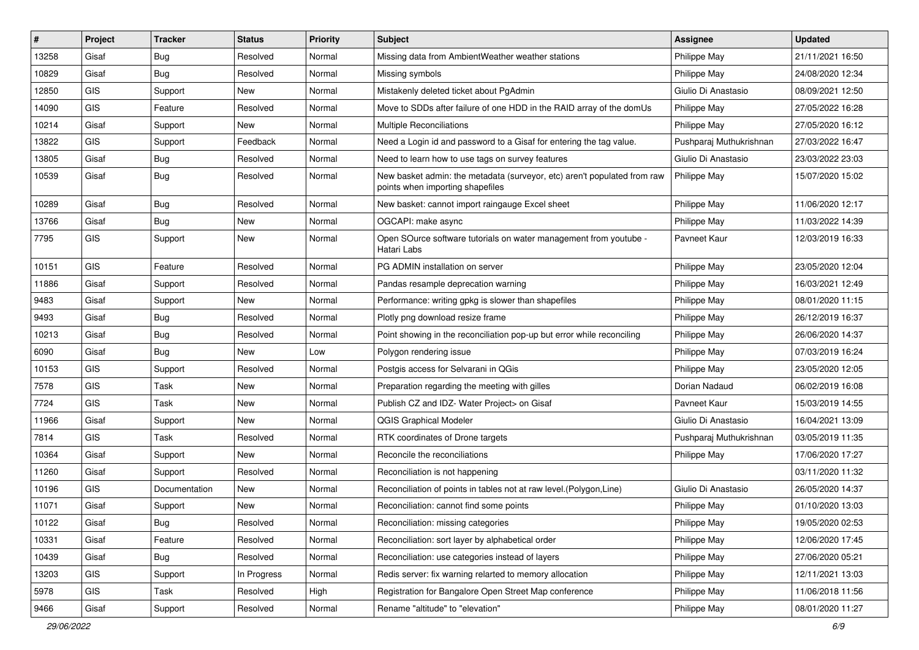| #     | Project    | <b>Tracker</b> | <b>Status</b> | Priority | Subject                                                                                                      | <b>Assignee</b>         | <b>Updated</b>   |
|-------|------------|----------------|---------------|----------|--------------------------------------------------------------------------------------------------------------|-------------------------|------------------|
| 13258 | Gisaf      | <b>Bug</b>     | Resolved      | Normal   | Missing data from AmbientWeather weather stations                                                            | Philippe May            | 21/11/2021 16:50 |
| 10829 | Gisaf      | Bug            | Resolved      | Normal   | Missing symbols                                                                                              | Philippe May            | 24/08/2020 12:34 |
| 12850 | <b>GIS</b> | Support        | New           | Normal   | Mistakenly deleted ticket about PgAdmin                                                                      | Giulio Di Anastasio     | 08/09/2021 12:50 |
| 14090 | GIS        | Feature        | Resolved      | Normal   | Move to SDDs after failure of one HDD in the RAID array of the domUs                                         | Philippe May            | 27/05/2022 16:28 |
| 10214 | Gisaf      | Support        | New           | Normal   | Multiple Reconciliations                                                                                     | Philippe May            | 27/05/2020 16:12 |
| 13822 | <b>GIS</b> | Support        | Feedback      | Normal   | Need a Login id and password to a Gisaf for entering the tag value.                                          | Pushparaj Muthukrishnan | 27/03/2022 16:47 |
| 13805 | Gisaf      | <b>Bug</b>     | Resolved      | Normal   | Need to learn how to use tags on survey features                                                             | Giulio Di Anastasio     | 23/03/2022 23:03 |
| 10539 | Gisaf      | Bug            | Resolved      | Normal   | New basket admin: the metadata (surveyor, etc) aren't populated from raw<br>points when importing shapefiles | Philippe May            | 15/07/2020 15:02 |
| 10289 | Gisaf      | <b>Bug</b>     | Resolved      | Normal   | New basket: cannot import raingauge Excel sheet                                                              | Philippe May            | 11/06/2020 12:17 |
| 13766 | Gisaf      | Bug            | New           | Normal   | OGCAPI: make async                                                                                           | Philippe May            | 11/03/2022 14:39 |
| 7795  | GIS        | Support        | New           | Normal   | Open SOurce software tutorials on water management from youtube -<br>Hatari Labs                             | Pavneet Kaur            | 12/03/2019 16:33 |
| 10151 | GIS        | Feature        | Resolved      | Normal   | PG ADMIN installation on server                                                                              | Philippe May            | 23/05/2020 12:04 |
| 11886 | Gisaf      | Support        | Resolved      | Normal   | Pandas resample deprecation warning                                                                          | Philippe May            | 16/03/2021 12:49 |
| 9483  | Gisaf      | Support        | <b>New</b>    | Normal   | Performance: writing gpkg is slower than shapefiles                                                          | Philippe May            | 08/01/2020 11:15 |
| 9493  | Gisaf      | <b>Bug</b>     | Resolved      | Normal   | Plotly png download resize frame                                                                             | Philippe May            | 26/12/2019 16:37 |
| 10213 | Gisaf      | Bug            | Resolved      | Normal   | Point showing in the reconciliation pop-up but error while reconciling                                       | Philippe May            | 26/06/2020 14:37 |
| 6090  | Gisaf      | Bug            | New           | Low      | Polygon rendering issue                                                                                      | Philippe May            | 07/03/2019 16:24 |
| 10153 | GIS        | Support        | Resolved      | Normal   | Postgis access for Selvarani in QGis                                                                         | Philippe May            | 23/05/2020 12:05 |
| 7578  | GIS        | Task           | <b>New</b>    | Normal   | Preparation regarding the meeting with gilles                                                                | Dorian Nadaud           | 06/02/2019 16:08 |
| 7724  | GIS        | Task           | New           | Normal   | Publish CZ and IDZ- Water Project> on Gisaf                                                                  | Pavneet Kaur            | 15/03/2019 14:55 |
| 11966 | Gisaf      | Support        | <b>New</b>    | Normal   | QGIS Graphical Modeler                                                                                       | Giulio Di Anastasio     | 16/04/2021 13:09 |
| 7814  | <b>GIS</b> | Task           | Resolved      | Normal   | RTK coordinates of Drone targets                                                                             | Pushparaj Muthukrishnan | 03/05/2019 11:35 |
| 10364 | Gisaf      | Support        | New           | Normal   | Reconcile the reconciliations                                                                                | Philippe May            | 17/06/2020 17:27 |
| 11260 | Gisaf      | Support        | Resolved      | Normal   | Reconciliation is not happening                                                                              |                         | 03/11/2020 11:32 |
| 10196 | <b>GIS</b> | Documentation  | New           | Normal   | Reconciliation of points in tables not at raw level. (Polygon, Line)                                         | Giulio Di Anastasio     | 26/05/2020 14:37 |
| 11071 | Gisaf      | Support        | New           | Normal   | Reconciliation: cannot find some points                                                                      | Philippe May            | 01/10/2020 13:03 |
| 10122 | Gisaf      | Bug            | Resolved      | Normal   | Reconciliation: missing categories                                                                           | Philippe May            | 19/05/2020 02:53 |
| 10331 | Gisaf      | Feature        | Resolved      | Normal   | Reconciliation: sort layer by alphabetical order                                                             | Philippe May            | 12/06/2020 17:45 |
| 10439 | Gisaf      | Bug            | Resolved      | Normal   | Reconciliation: use categories instead of layers                                                             | Philippe May            | 27/06/2020 05:21 |
| 13203 | GIS        | Support        | In Progress   | Normal   | Redis server: fix warning relarted to memory allocation                                                      | Philippe May            | 12/11/2021 13:03 |
| 5978  | GIS        | Task           | Resolved      | High     | Registration for Bangalore Open Street Map conference                                                        | Philippe May            | 11/06/2018 11:56 |
| 9466  | Gisaf      | Support        | Resolved      | Normal   | Rename "altitude" to "elevation"                                                                             | Philippe May            | 08/01/2020 11:27 |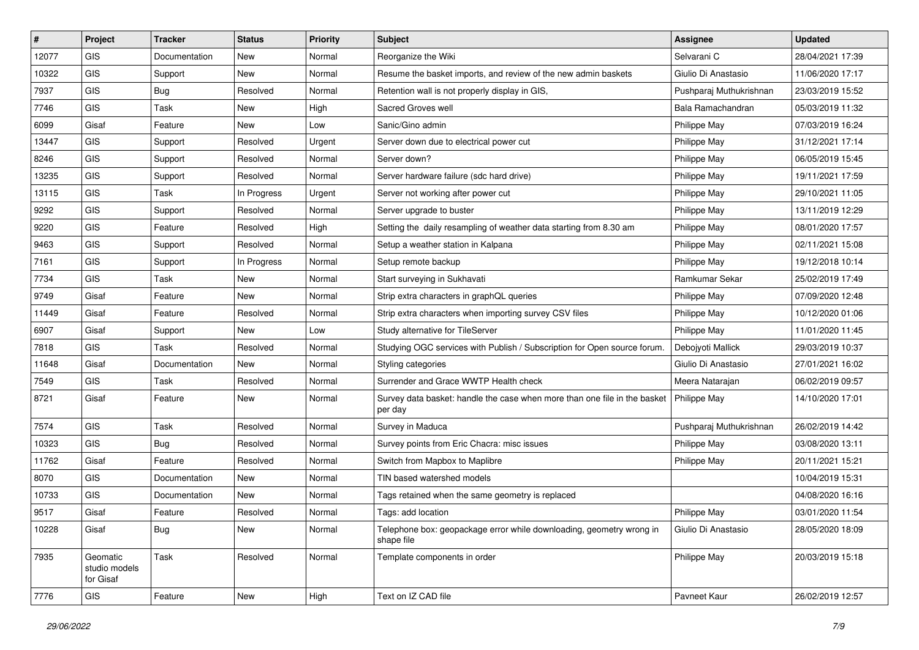| #     | Project                                | <b>Tracker</b> | <b>Status</b> | Priority | <b>Subject</b>                                                                       | <b>Assignee</b>         | <b>Updated</b>   |
|-------|----------------------------------------|----------------|---------------|----------|--------------------------------------------------------------------------------------|-------------------------|------------------|
| 12077 | <b>GIS</b>                             | Documentation  | New           | Normal   | Reorganize the Wiki                                                                  | Selvarani C             | 28/04/2021 17:39 |
| 10322 | <b>GIS</b>                             | Support        | New           | Normal   | Resume the basket imports, and review of the new admin baskets                       | Giulio Di Anastasio     | 11/06/2020 17:17 |
| 7937  | GIS                                    | <b>Bug</b>     | Resolved      | Normal   | Retention wall is not properly display in GIS,                                       | Pushparaj Muthukrishnan | 23/03/2019 15:52 |
| 7746  | GIS                                    | Task           | New           | High     | Sacred Groves well                                                                   | Bala Ramachandran       | 05/03/2019 11:32 |
| 6099  | Gisaf                                  | Feature        | New           | Low      | Sanic/Gino admin                                                                     | Philippe May            | 07/03/2019 16:24 |
| 13447 | <b>GIS</b>                             | Support        | Resolved      | Urgent   | Server down due to electrical power cut                                              | Philippe May            | 31/12/2021 17:14 |
| 8246  | GIS                                    | Support        | Resolved      | Normal   | Server down?                                                                         | Philippe May            | 06/05/2019 15:45 |
| 13235 | GIS                                    | Support        | Resolved      | Normal   | Server hardware failure (sdc hard drive)                                             | Philippe May            | 19/11/2021 17:59 |
| 13115 | GIS                                    | Task           | In Progress   | Urgent   | Server not working after power cut                                                   | Philippe May            | 29/10/2021 11:05 |
| 9292  | GIS                                    | Support        | Resolved      | Normal   | Server upgrade to buster                                                             | Philippe May            | 13/11/2019 12:29 |
| 9220  | GIS                                    | Feature        | Resolved      | High     | Setting the daily resampling of weather data starting from 8.30 am                   | Philippe May            | 08/01/2020 17:57 |
| 9463  | GIS                                    | Support        | Resolved      | Normal   | Setup a weather station in Kalpana                                                   | Philippe May            | 02/11/2021 15:08 |
| 7161  | GIS                                    | Support        | In Progress   | Normal   | Setup remote backup                                                                  | Philippe May            | 19/12/2018 10:14 |
| 7734  | GIS                                    | Task           | New           | Normal   | Start surveying in Sukhavati                                                         | Ramkumar Sekar          | 25/02/2019 17:49 |
| 9749  | Gisaf                                  | Feature        | <b>New</b>    | Normal   | Strip extra characters in graphQL queries                                            | Philippe May            | 07/09/2020 12:48 |
| 11449 | Gisaf                                  | Feature        | Resolved      | Normal   | Strip extra characters when importing survey CSV files                               | Philippe May            | 10/12/2020 01:06 |
| 6907  | Gisaf                                  | Support        | New           | Low      | Study alternative for TileServer                                                     | Philippe May            | 11/01/2020 11:45 |
| 7818  | GIS                                    | Task           | Resolved      | Normal   | Studying OGC services with Publish / Subscription for Open source forum.             | Debojyoti Mallick       | 29/03/2019 10:37 |
| 11648 | Gisaf                                  | Documentation  | New           | Normal   | Styling categories                                                                   | Giulio Di Anastasio     | 27/01/2021 16:02 |
| 7549  | GIS                                    | Task           | Resolved      | Normal   | Surrender and Grace WWTP Health check                                                | Meera Natarajan         | 06/02/2019 09:57 |
| 8721  | Gisaf                                  | Feature        | New           | Normal   | Survey data basket: handle the case when more than one file in the basket<br>per day | Philippe May            | 14/10/2020 17:01 |
| 7574  | GIS                                    | <b>Task</b>    | Resolved      | Normal   | Survey in Maduca                                                                     | Pushparaj Muthukrishnan | 26/02/2019 14:42 |
| 10323 | <b>GIS</b>                             | Bug            | Resolved      | Normal   | Survey points from Eric Chacra: misc issues                                          | Philippe May            | 03/08/2020 13:11 |
| 11762 | Gisaf                                  | Feature        | Resolved      | Normal   | Switch from Mapbox to Maplibre                                                       | Philippe May            | 20/11/2021 15:21 |
| 8070  | <b>GIS</b>                             | Documentation  | New           | Normal   | TIN based watershed models                                                           |                         | 10/04/2019 15:31 |
| 10733 | GIS                                    | Documentation  | New           | Normal   | Tags retained when the same geometry is replaced                                     |                         | 04/08/2020 16:16 |
| 9517  | Gisaf                                  | Feature        | Resolved      | Normal   | Tags: add location                                                                   | Philippe May            | 03/01/2020 11:54 |
| 10228 | Gisaf                                  | <b>Bug</b>     | New           | Normal   | Telephone box: geopackage error while downloading, geometry wrong in<br>shape file   | Giulio Di Anastasio     | 28/05/2020 18:09 |
| 7935  | Geomatic<br>studio models<br>for Gisaf | Task           | Resolved      | Normal   | Template components in order                                                         | Philippe May            | 20/03/2019 15:18 |
| 7776  | GIS                                    | Feature        | New           | High     | Text on IZ CAD file                                                                  | Pavneet Kaur            | 26/02/2019 12:57 |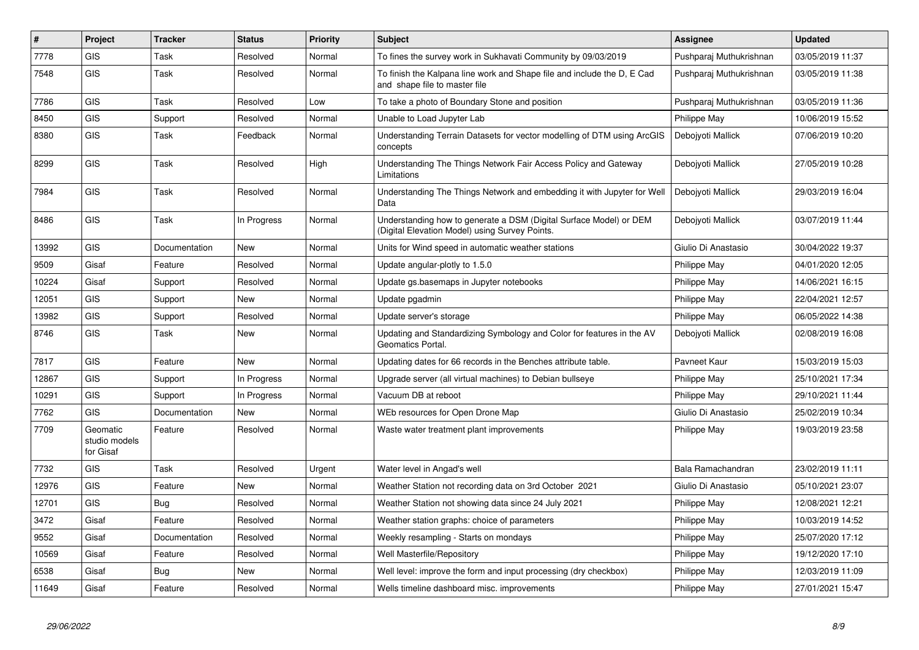| $\vert$ # | Project                                | <b>Tracker</b> | <b>Status</b> | Priority | <b>Subject</b>                                                                                                       | <b>Assignee</b>         | <b>Updated</b>   |
|-----------|----------------------------------------|----------------|---------------|----------|----------------------------------------------------------------------------------------------------------------------|-------------------------|------------------|
| 7778      | GIS                                    | Task           | Resolved      | Normal   | To fines the survey work in Sukhavati Community by 09/03/2019                                                        | Pushparaj Muthukrishnan | 03/05/2019 11:37 |
| 7548      | <b>GIS</b>                             | Task           | Resolved      | Normal   | To finish the Kalpana line work and Shape file and include the D, E Cad<br>and shape file to master file             | Pushparaj Muthukrishnan | 03/05/2019 11:38 |
| 7786      | GIS                                    | Task           | Resolved      | Low      | To take a photo of Boundary Stone and position                                                                       | Pushparaj Muthukrishnan | 03/05/2019 11:36 |
| 8450      | GIS                                    | Support        | Resolved      | Normal   | Unable to Load Jupyter Lab                                                                                           | Philippe May            | 10/06/2019 15:52 |
| 8380      | <b>GIS</b>                             | Task           | Feedback      | Normal   | Understanding Terrain Datasets for vector modelling of DTM using ArcGIS<br>concepts                                  | Debojyoti Mallick       | 07/06/2019 10:20 |
| 8299      | <b>GIS</b>                             | Task           | Resolved      | High     | Understanding The Things Network Fair Access Policy and Gateway<br>Limitations                                       | Debojyoti Mallick       | 27/05/2019 10:28 |
| 7984      | GIS                                    | Task           | Resolved      | Normal   | Understanding The Things Network and embedding it with Jupyter for Well<br>Data                                      | Debojyoti Mallick       | 29/03/2019 16:04 |
| 8486      | <b>GIS</b>                             | Task           | In Progress   | Normal   | Understanding how to generate a DSM (Digital Surface Model) or DEM<br>(Digital Elevation Model) using Survey Points. | Debojyoti Mallick       | 03/07/2019 11:44 |
| 13992     | <b>GIS</b>                             | Documentation  | <b>New</b>    | Normal   | Units for Wind speed in automatic weather stations                                                                   | Giulio Di Anastasio     | 30/04/2022 19:37 |
| 9509      | Gisaf                                  | Feature        | Resolved      | Normal   | Update angular-plotly to 1.5.0                                                                                       | Philippe May            | 04/01/2020 12:05 |
| 10224     | Gisaf                                  | Support        | Resolved      | Normal   | Update gs.basemaps in Jupyter notebooks                                                                              | <b>Philippe May</b>     | 14/06/2021 16:15 |
| 12051     | GIS                                    | Support        | <b>New</b>    | Normal   | Update pgadmin                                                                                                       | Philippe May            | 22/04/2021 12:57 |
| 13982     | <b>GIS</b>                             | Support        | Resolved      | Normal   | Update server's storage                                                                                              | Philippe May            | 06/05/2022 14:38 |
| 8746      | <b>GIS</b>                             | Task           | <b>New</b>    | Normal   | Updating and Standardizing Symbology and Color for features in the AV<br>Geomatics Portal.                           | Debojyoti Mallick       | 02/08/2019 16:08 |
| 7817      | <b>GIS</b>                             | Feature        | <b>New</b>    | Normal   | Updating dates for 66 records in the Benches attribute table.                                                        | Pavneet Kaur            | 15/03/2019 15:03 |
| 12867     | <b>GIS</b>                             | Support        | In Progress   | Normal   | Upgrade server (all virtual machines) to Debian bullseye                                                             | Philippe May            | 25/10/2021 17:34 |
| 10291     | <b>GIS</b>                             | Support        | In Progress   | Normal   | Vacuum DB at reboot                                                                                                  | Philippe May            | 29/10/2021 11:44 |
| 7762      | <b>GIS</b>                             | Documentation  | <b>New</b>    | Normal   | WEb resources for Open Drone Map                                                                                     | Giulio Di Anastasio     | 25/02/2019 10:34 |
| 7709      | Geomatic<br>studio models<br>for Gisaf | Feature        | Resolved      | Normal   | Waste water treatment plant improvements                                                                             | Philippe May            | 19/03/2019 23:58 |
| 7732      | GIS                                    | Task           | Resolved      | Urgent   | Water level in Angad's well                                                                                          | Bala Ramachandran       | 23/02/2019 11:11 |
| 12976     | <b>GIS</b>                             | Feature        | <b>New</b>    | Normal   | Weather Station not recording data on 3rd October 2021                                                               | Giulio Di Anastasio     | 05/10/2021 23:07 |
| 12701     | <b>GIS</b>                             | <b>Bug</b>     | Resolved      | Normal   | Weather Station not showing data since 24 July 2021                                                                  | Philippe May            | 12/08/2021 12:21 |
| 3472      | Gisaf                                  | Feature        | Resolved      | Normal   | Weather station graphs: choice of parameters                                                                         | Philippe May            | 10/03/2019 14:52 |
| 9552      | Gisaf                                  | Documentation  | Resolved      | Normal   | Weekly resampling - Starts on mondays                                                                                | Philippe May            | 25/07/2020 17:12 |
| 10569     | Gisaf                                  | Feature        | Resolved      | Normal   | Well Masterfile/Repository                                                                                           | Philippe May            | 19/12/2020 17:10 |
| 6538      | Gisaf                                  | Bug            | New           | Normal   | Well level: improve the form and input processing (dry checkbox)                                                     | Philippe May            | 12/03/2019 11:09 |
| 11649     | Gisaf                                  | Feature        | Resolved      | Normal   | Wells timeline dashboard misc. improvements                                                                          | Philippe May            | 27/01/2021 15:47 |